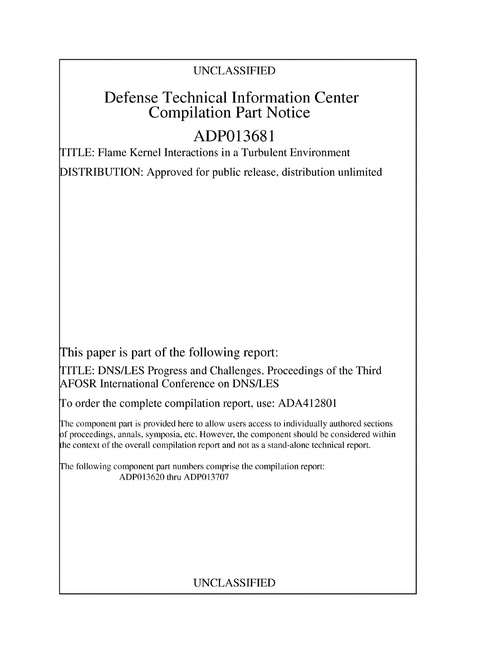## UNCLASSIFIED

# Defense Technical Information Center Compilation Part Notice

# **ADP013681**

TITLE: Flame Kernel Interactions in a Turbulent Environment

DISTRIBUTION: Approved for public release, distribution unlimited

This paper is part of the following report:

TITLE: DNS/LES Progress and Challenges. Proceedings of the Third AFOSR International Conference on DNS/LES

To order the complete compilation report, use: ADA412801

The component part is provided here to allow users access to individually authored sections f proceedings, annals, symposia, etc. However, the component should be considered within the context of the overall compilation report and not as a stand-alone technical report.

The following component part numbers comprise the compilation report: ADP013620 thru ADP013707

# UNCLASSIFIED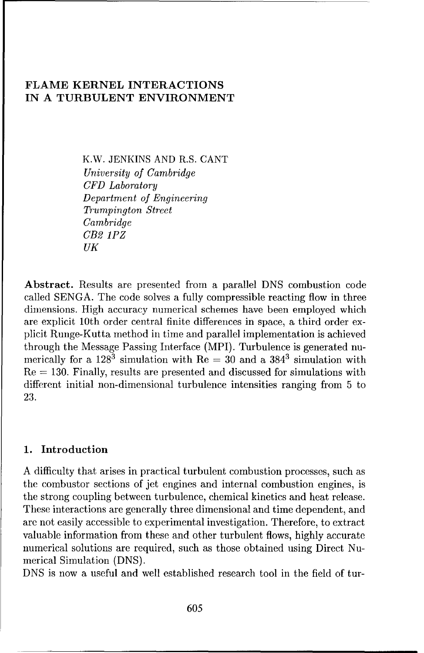## **FLAME** KERNEL INTERACTIONS **IN A TURBULENT ENVIRONMENT**

K.W. JENKINS AND R.S. CANT *University of Cambridge CFD Laboratory* Department *of* Engineering Trumpington *Street Cambridge CB2 1PZ UK*

Abstract. Results are presented from a parallel DNS combustion code called SENGA. The code solves a fully compressible reacting flow in three dimensions. High accuracy numerical schemes have been employed which are explicit 10th order central finite differences in space, a third order explicit Runge-Kutta method in time and parallel implementation is achieved through the Message Passing Interface (MPI). Turbulence is generated numerically for a  $128^3$  simulation with Re = 30 and a  $384^3$  simulation with Re **=** 130. Finally, results are presented and discussed for simulations with different initial non-dimensional turbulence intensities ranging from 5 to 23.

### **1.** Introduction

A difficulty that arises in practical turbulent combustion processes, such as the combustor sections of jet engines and internal combustion engines, is the strong coupling between turbulence, chemical kinetics and heat release. These interactions are generally three dimensional and time dependent, and are not easily accessible to experimental investigation. Therefore, to extract valuable information from these and other turbulent flows, highly accurate numerical solutions are required, such as those obtained using Direct Numerical Simulation (DNS).

DNS is now a useful and well established research tool in the field of tur-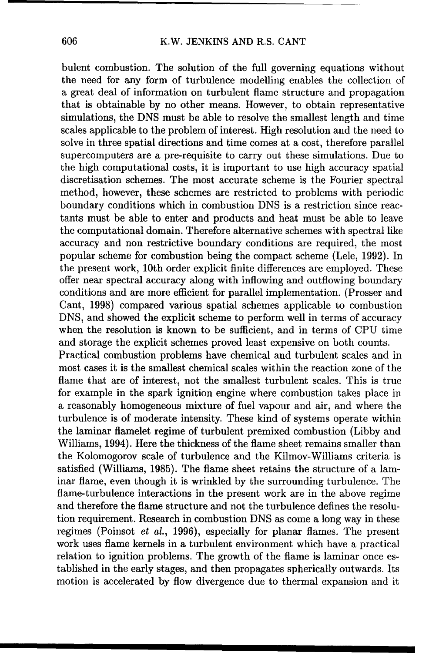#### 606 K.W. JENKINS AND R.S. CANT

bulent combustion. The solution of the full governing equations without the need for any form of turbulence modelling enables the collection of a great deal of information on turbulent flame structure and propagation that is obtainable by no other means. However, to obtain representative simulations, the DNS must be able to resolve the smallest length and time scales applicable to the problem of interest. High resolution and the need to solve in three spatial directions and time comes at a cost, therefore parallel supercomputers are a pre-requisite to carry out these simulations. Due to the high computational costs, it is important to use high accuracy spatial discretisation schemes. The most accurate scheme is the Fourier spectral method, however, these schemes are restricted to problems with periodic boundary conditions which in combustion DNS is a restriction since reactants must be able to enter and products and heat must be able to leave the computational domain. Therefore alternative schemes with spectral like accuracy and non restrictive boundary conditions are required, the most popular scheme for combustion being the compact scheme (Lele, 1992). In the present work, 10th order explicit finite differences are employed. These offer near spectral accuracy along with inflowing and outflowing boundary conditions and are more efficient for parallel implementation. (Prosser and Cant, 1998) compared various spatial schemes applicable to combustion DNS, and showed the explicit scheme to perform well in terms of accuracy when the resolution is known to be sufficient, and in terms of CPU time and storage the explicit schemes proved least expensive on both counts.

Practical combustion problems have chemical and turbulent scales and in most cases it is the smallest chemical scales within the reaction zone of the flame that are of interest, not the smallest turbulent scales. This is true for example in the spark ignition engine where combustion takes place in a reasonably homogeneous mixture of fuel vapour and air, and where the turbulence is of moderate intensity. These kind of systems operate within the laminar flamelet regime of turbulent premixed combustion (Libby and Williams, 1994). Here the thickness of the flame sheet remains smaller than the Kolomogorov scale of turbulence and the Kilmov-Williams criteria is satisfied (Williams, 1985). The flame sheet retains the structure of a laminar flame, even though it is wrinkled by the surrounding turbulence. The flame-turbulence interactions in the present work are in the above regime and therefore the flame structure and not the turbulence defines the resolution requirement. Research in combustion DNS as come a long way in these regimes (Poinsot et al., 1996), especially for planar flames. The present work uses flame kernels in a turbulent environment which have a practical relation to ignition problems. The growth of the flame is laminar once established in the early stages, and then propagates spherically outwards. Its motion is accelerated by flow divergence due to thermal expansion and it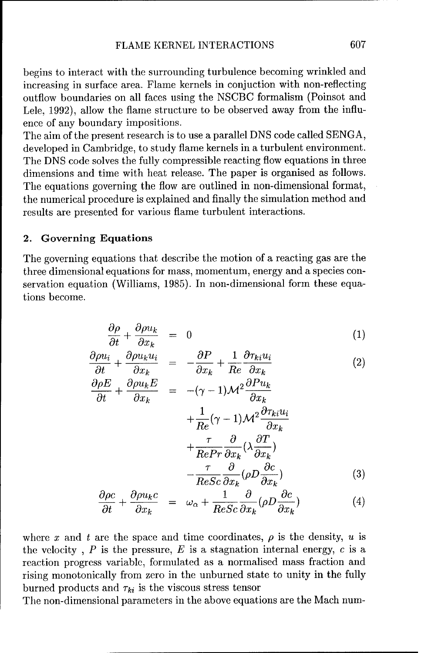begins to interact with the surrounding turbulence becoming wrinkled and increasing in surface area. Flame kernels in conjuction with non-reflecting outflow boundaries on all faces using the NSCBC formalism (Poinsot and Lele, 1992), allow the flame structure to be observed away from the influence of any boundary impositions.

The aim of the present research is to use a parallel DNS code called SENGA, developed in Cambridge, to study flame kernels in a turbulent environment. The DNS code solves the fully compressible reacting flow equations in three dimensions and time with heat release. The paper is organised as follows. The equations governing the flow are outlined in non-dimensional format, the numerical procedure is explained and finally the simulation method and results are presented for various flame turbulent interactions.

#### 2. Governing Equations

The governing equations that describe the motion of a reacting gas are the three dimensional equations for mass, momentum, energy and a species conservation equation (Williams, 1985). In non-dimensional form these equations become.

$$
\frac{\partial \rho}{\partial t} + \frac{\partial \rho u_k}{\partial x_k} = 0 \tag{1}
$$
\n
$$
\frac{\partial \rho u_i}{\partial \rho u_k u_i} = 0 \tag{2}
$$

$$
\frac{\partial \rho u_i}{\partial t} + \frac{\partial \rho u_k u_i}{\partial x_k} = -\frac{\partial P}{\partial x_k} + \frac{1}{Re} \frac{\partial \tau_{ki} u_i}{\partial x_k}
$$
(2)

$$
\frac{\partial \rho E}{\partial t} + \frac{\partial \rho u_k E}{\partial x_k} = -(\gamma - 1)\mathcal{M}^2 \frac{\partial P u_k}{\partial x_k} + \frac{1}{Re}(\gamma - 1)\mathcal{M}^2 \frac{\partial \tau_{ki} u_i}{\partial x_k} + \frac{\tau}{Re Pr} \frac{\partial}{\partial x_k} (\lambda \frac{\partial T}{\partial x_k}) - \frac{\tau}{Re Sc} \frac{\partial}{\partial x_k} (\rho D \frac{\partial c}{\partial x_k})
$$
(3)

$$
\frac{\partial \rho c}{\partial t} + \frac{\partial \rho u_k c}{\partial x_k} = \omega_\alpha + \frac{1}{ReSc} \frac{\partial}{\partial x_k} (\rho D \frac{\partial c}{\partial x_k})
$$
(4)

where x and t are the space and time coordinates,  $\rho$  is the density, u is the velocity,  $P$  is the pressure,  $E$  is a stagnation internal energy,  $c$  is a reaction progress variable, formulated as a normalised mass fraction and rising monotonically from zero in the unburned state to unity in the fully burned products and  $\tau_{ki}$  is the viscous stress tensor

The non-dimensional parameters in the above equations are the Mach num-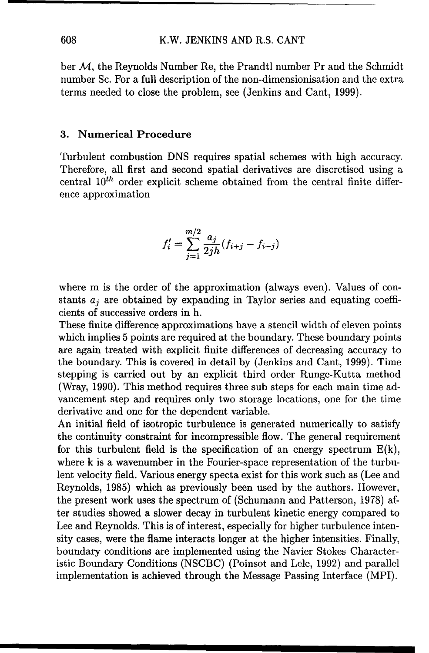ber *M,* the Reynolds Number Re, the Prandtl number Pr and the Schmidt number Sc. For a full description of the non-dimensionisation and the extra terms needed to close the problem, see (Jenkins and Cant, 1999).

#### **3.** Numerical Procedure

Turbulent combustion DNS requires spatial schemes with high accuracy. Therefore, all first and second spatial derivatives are discretised using a central  $10^{th}$  order explicit scheme obtained from the central finite difference approximation

$$
f_i' = \sum_{j=1}^{m/2} \frac{a_j}{2jh} (f_{i+j} - f_{i-j})
$$

where m is the order of the approximation (always even). Values of constants  $a_j$  are obtained by expanding in Taylor series and equating coefficients of successive orders in h.

These finite difference approximations have a stencil width of eleven points which implies 5 points are required at the boundary. These boundary points are again treated with explicit finite differences of decreasing accuracy to the boundary. This is covered in detail by (Jenkins and Cant, 1999). Time stepping is carried out by an explicit third order Runge-Kutta method (Wray, 1990). This method requires three sub steps for each main time advancement step and requires only two storage locations, one for the time derivative and one for the dependent variable.

An initial field of isotropic turbulence is generated numerically to satisfy the continuity constraint for incompressible flow. The general requirement for this turbulent field is the specification of an energy spectrum  $E(k)$ , where k is a wavenumber in the Fourier-space representation of the turbulent velocity field. Various energy specta exist for this work such as (Lee and Reynolds, 1985) which as previously been used by the authors. However, the present work uses the spectrum of (Schumann and Patterson, 1978) after studies showed a slower decay in turbulent kinetic energy compared to Lee and Reynolds. This is of interest, especially for higher turbulence intensity cases, were the flame interacts longer at the higher intensities. Finally, boundary conditions are implemented using the Navier Stokes Characteristic Boundary Conditions (NSCBC) (Poinsot and Lele, 1992) and parallel implementation is achieved through the Message Passing Interface (MPI).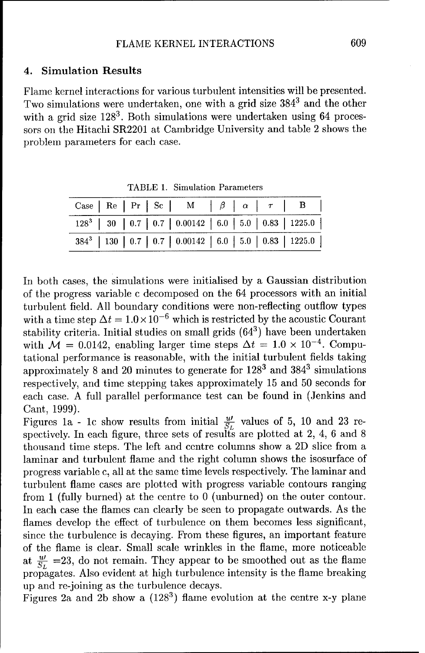### 4. Simulation Results

Flame kernel interactions for various turbulent intensities will be presented. Two simulations were undertaken, one with a grid size  $384^3$  and the other with a grid size  $128<sup>3</sup>$ . Both simulations were undertaken using 64 processors on the Hitachi SR2201 at Cambridge University and table 2 shows the problem parameters for each case.

|  |  | Case   Re   Pr   Sc   M   $\beta$   $\alpha$   $\tau$   B       |  |  |
|--|--|-----------------------------------------------------------------|--|--|
|  |  | $128^3$   30   0.7   0.7   0.00142   6.0   5.0   0.83   1225.0  |  |  |
|  |  | $384^3$   130   0.7   0.7   0.00142   6.0   5.0   0.83   1225.0 |  |  |

TABLE 1. Simulation Parameters

In both cases, the simulations were initialised by a Gaussian distribution of the progress variable c decomposed on the 64 processors with an initial turbulent field. All boundary conditions were non-reflecting outflow types with a time step  $\Delta t = 1.0 \times 10^{-6}$  which is restricted by the acoustic Courant stability criteria. Initial studies on small grids  $(64^3)$  have been undertaken with  $\mathcal{M} = 0.0142$ , enabling larger time steps  $\Delta t = 1.0 \times 10^{-4}$ . Computational performance is reasonable, with the initial turbulent fields taking approximately 8 and 20 minutes to generate for 1283 and 3843 simulations respectively, and time stepping takes approximately 15 and 50 seconds for each case. A full parallel performance test can be found in (Jenkins and Cant, 1999).

Figures 1a - 1c show results from initial  $\frac{w}{S_L}$  values of 5, 10 and 23 respectively. In each figure, three sets of results are plotted at 2, 4, 6 and 8 thousand time steps. The left and centre columns show a 2D slice from a laminar and turbulent flame and the right column shows the isosurface of progress variable c, all at the same time levels respectively. The laminar and turbulent flame cases are plotted with progress variable contours ranging from 1 (fully burned) at the centre to 0 (unburned) on the outer contour. In each case the flames can clearly be seen to propagate outwards. As the flames develop the effect of turbulence on them becomes less significant, since the turbulence is decaying. From these figures, an important feature of the flame is clear. Small scale wrinkles in the flame, more noticeable at  $\frac{u}{S_L}$  =23, do not remain. They appear to be smoothed out as the flame propagates. Also evident at high turbulence intensity is the flame breaking up and re-joining as the turbulence decays.

Figures 2a and 2b show a (1283) flame evolution at the centre x-y plane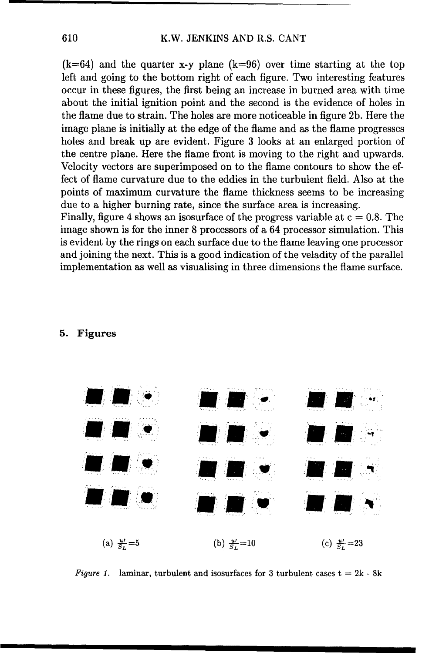$(k=64)$  and the quarter x-y plane  $(k=96)$  over time starting at the top left and going to the bottom right of each figure. Two interesting features occur in these figures, the first being an increase in burned area with time about the initial ignition point and the second is the evidence of holes in the flame due to strain. The holes are more noticeable in figure 2b. Here the image plane is initially at the edge of the flame and as the flame progresses holes and break up are evident. Figure 3 looks at an enlarged portion of the centre plane. Here the flame front is moving to the right and upwards. Velocity vectors are superimposed on to the flame contours to show the effect of flame curvature due to the eddies in the turbulent field. Also at the points of maximum curvature the flame thickness seems to be increasing due to a higher burning rate, since the surface area is increasing.

Finally, figure 4 shows an isosurface of the progress variable at  $c = 0.8$ . The image shown is for the inner 8 processors of a 64 processor simulation. This is evident by the rings on each surface due to the flame leaving one processor and joining the next. This is a good indication of the veladity of the parallel implementation as well as visualising in three dimensions the flame surface.

#### 5. Figures



Figure 1. laminar, turbulent and isosurfaces for 3 turbulent cases  $t = 2k - 8k$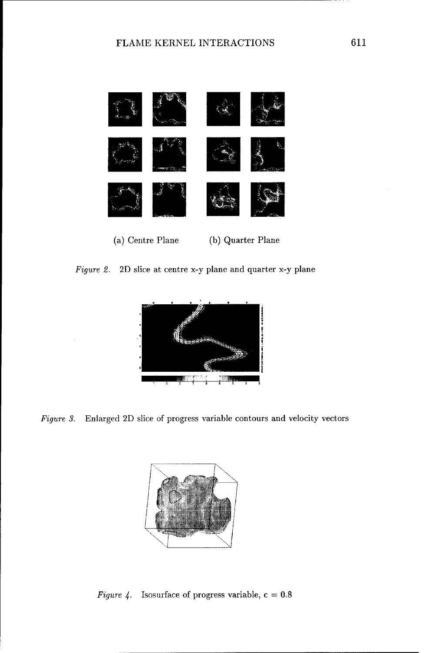

Figure 2. 2D slice at centre x-y plane and quarter x-y plane



*Figure 3.* Enlarged 2D slice of progress variable contours and velocity vectors



Figure 4. Isosurface of progress variable,  $c = 0.8$